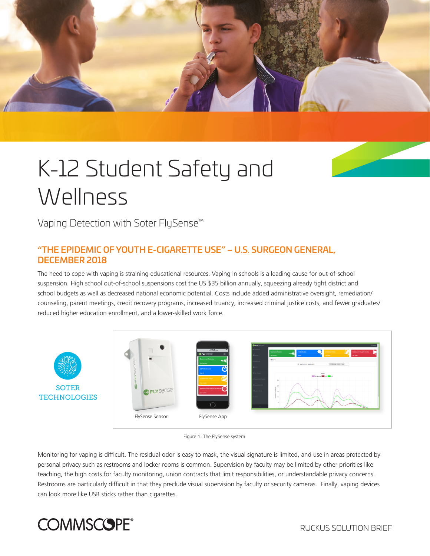

# K-12 Student Safety and **Wellness**

Vaping Detection with Soter FlySense™

# "THE EPIDEMIC OF YOUTH E-CIGARETTE USE" – U.S. SURGEON GENERAL, DECEMBER 2018

The need to cope with vaping is straining educational resources. Vaping in schools is a leading cause for out-of-school suspension. High school out-of-school suspensions cost the US \$35 billion annually, squeezing already tight district and school budgets as well as decreased national economic potential. Costs include added administrative oversight, remediation/ counseling, parent meetings, credit recovery programs, increased truancy, increased criminal justice costs, and fewer graduates/ reduced higher education enrollment, and a lower-skilled work force.





Monitoring for vaping is difficult. The residual odor is easy to mask, the visual signature is limited, and use in areas protected by personal privacy such as restrooms and locker rooms is common. Supervision by faculty may be limited by other priorities like teaching, the high costs for faculty monitoring, union contracts that limit responsibilities, or understandable privacy concerns. Restrooms are particularly difficult in that they preclude visual supervision by faculty or security cameras. Finally, vaping devices can look more like USB sticks rather than cigarettes.

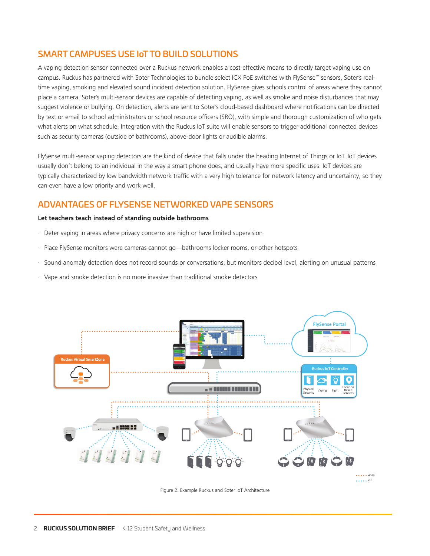# SMART CAMPUSES USE IoT TO BUILD SOLUTIONS

A vaping detection sensor connected over a Ruckus network enables a cost-effective means to directly target vaping use on campus. Ruckus has partnered with Soter Technologies to bundle select ICX PoE switches with FlySense™ sensors, Soter's realtime vaping, smoking and elevated sound incident detection solution. FlySense gives schools control of areas where they cannot place a camera. Soter's multi-sensor devices are capable of detecting vaping, as well as smoke and noise disturbances that may suggest violence or bullying. On detection, alerts are sent to Soter's cloud-based dashboard where notifications can be directed by text or email to school administrators or school resource officers (SRO), with simple and thorough customization of who gets what alerts on what schedule. Integration with the Ruckus IoT suite will enable sensors to trigger additional connected devices such as security cameras (outside of bathrooms), above-door lights or audible alarms.

FlySense multi-sensor vaping detectors are the kind of device that falls under the heading Internet of Things or IoT. IoT devices usually don't belong to an individual in the way a smart phone does, and usually have more specific uses. IoT devices are typically characterized by low bandwidth network traffic with a very high tolerance for network latency and uncertainty, so they can even have a low priority and work well.

### ADVANTAGES OF FLYSENSE NETWORKED VAPE SENSORS

#### **Let teachers teach instead of standing outside bathrooms**

- · Deter vaping in areas where privacy concerns are high or have limited supervision
- · Place FlySense monitors were cameras cannot go—bathrooms locker rooms, or other hotspots
- · Sound anomaly detection does not record sounds or conversations, but monitors decibel level, alerting on unusual patterns
- · Vape and smoke detection is no more invasive than traditional smoke detectors



Figure 2. Example Ruckus and Soter IoT Architecture